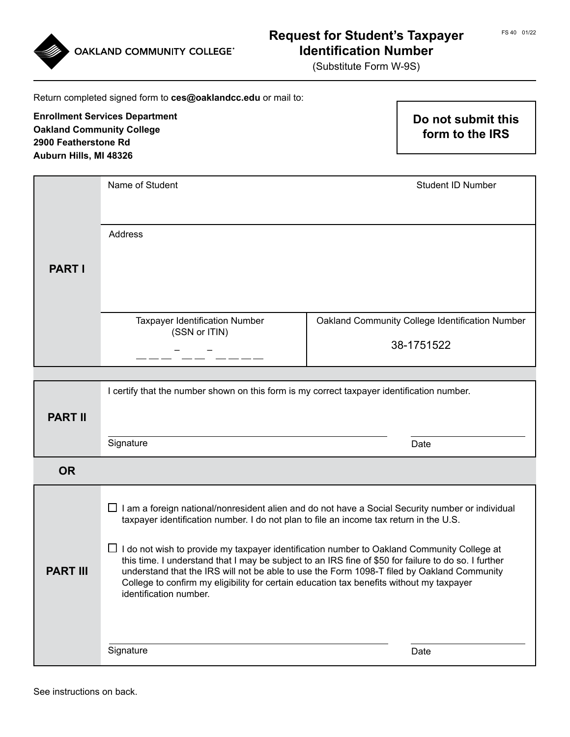



# FS 40 01/22 **Request for Student's Taxpayer Identification Number**

(Substitute Form W-9S)

| Return completed signed form to ces@oaklandcc.edu or mail to:                                                               |                                                                                                                                                                                                                                                                                                                                                                                                                                                                                                                                                                                                                                    |                                       |                                                               |
|-----------------------------------------------------------------------------------------------------------------------------|------------------------------------------------------------------------------------------------------------------------------------------------------------------------------------------------------------------------------------------------------------------------------------------------------------------------------------------------------------------------------------------------------------------------------------------------------------------------------------------------------------------------------------------------------------------------------------------------------------------------------------|---------------------------------------|---------------------------------------------------------------|
| <b>Enrollment Services Department</b><br><b>Oakland Community College</b><br>2900 Featherstone Rd<br>Auburn Hills, MI 48326 |                                                                                                                                                                                                                                                                                                                                                                                                                                                                                                                                                                                                                                    | Do not submit this<br>form to the IRS |                                                               |
|                                                                                                                             | Name of Student                                                                                                                                                                                                                                                                                                                                                                                                                                                                                                                                                                                                                    |                                       | <b>Student ID Number</b>                                      |
| <b>PART I</b>                                                                                                               | Address                                                                                                                                                                                                                                                                                                                                                                                                                                                                                                                                                                                                                            |                                       |                                                               |
|                                                                                                                             | <b>Taxpayer Identification Number</b><br>(SSN or ITIN)                                                                                                                                                                                                                                                                                                                                                                                                                                                                                                                                                                             |                                       | Oakland Community College Identification Number<br>38-1751522 |
|                                                                                                                             |                                                                                                                                                                                                                                                                                                                                                                                                                                                                                                                                                                                                                                    |                                       |                                                               |
| <b>PART II</b>                                                                                                              | I certify that the number shown on this form is my correct taxpayer identification number.<br>Signature                                                                                                                                                                                                                                                                                                                                                                                                                                                                                                                            |                                       | Date                                                          |
| <b>OR</b>                                                                                                                   |                                                                                                                                                                                                                                                                                                                                                                                                                                                                                                                                                                                                                                    |                                       |                                                               |
| <b>PART III</b>                                                                                                             | $\Box$ I am a foreign national/nonresident alien and do not have a Social Security number or individual<br>taxpayer identification number. I do not plan to file an income tax return in the U.S.<br>$\Box$ I do not wish to provide my taxpayer identification number to Oakland Community College at<br>this time. I understand that I may be subject to an IRS fine of \$50 for failure to do so. I further<br>understand that the IRS will not be able to use the Form 1098-T filed by Oakland Community<br>College to confirm my eligibility for certain education tax benefits without my taxpayer<br>identification number. |                                       |                                                               |
|                                                                                                                             | Signature                                                                                                                                                                                                                                                                                                                                                                                                                                                                                                                                                                                                                          |                                       | Date                                                          |